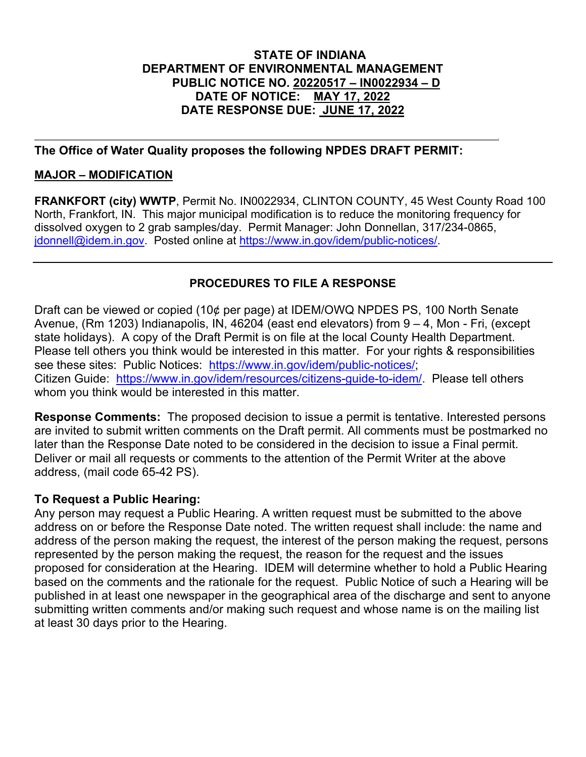# **STATE OF INDIANA DEPARTMENT OF ENVIRONMENTAL MANAGEMENT PUBLIC NOTICE NO. 20220517 – IN0022934 – D DATE OF NOTICE: MAY 17, 2022 DATE RESPONSE DUE: JUNE 17, 2022**

# **The Office of Water Quality proposes the following NPDES DRAFT PERMIT:**

,一个人都是一个人的人,而且,他们的人都是一个人,他们的人都是一个人,他们的人都是一个人,他们的人都是一个人,他们的人都是一个人,他们的人都是一个人,他们的人都是

## **MAJOR – MODIFICATION**

**FRANKFORT (city) WWTP**, Permit No. IN0022934, CLINTON COUNTY, 45 West County Road 100 North, Frankfort, IN. This major municipal modification is to reduce the monitoring frequency for dissolved oxygen to 2 grab samples/day. Permit Manager: John Donnellan, 317/234-0865, jdonnell@idem.in.gov. Posted online at [https://www.in.gov/idem/public-notices/.](https://www.in.gov/idem/public-notices/)

# **PROCEDURES TO FILE A RESPONSE**

Draft can be viewed or copied (10¢ per page) at IDEM/OWQ NPDES PS, 100 North Senate Avenue, (Rm 1203) Indianapolis, IN, 46204 (east end elevators) from 9 – 4, Mon - Fri, (except state holidays). A copy of the Draft Permit is on file at the local County Health Department. Please tell others you think would be interested in this matter. For your rights & responsibilities see these sites: Public Notices: [https://www.in.gov/idem/public-notices/;](https://www.in.gov/idem/public-notices/) Citizen Guide: [https://www.in.gov/idem/resources/citizens-guide-to-idem/.](https://www.in.gov/idem/resources/citizens-guide-to-idem/) Please tell others whom you think would be interested in this matter.

**Response Comments:** The proposed decision to issue a permit is tentative. Interested persons are invited to submit written comments on the Draft permit. All comments must be postmarked no later than the Response Date noted to be considered in the decision to issue a Final permit. Deliver or mail all requests or comments to the attention of the Permit Writer at the above address, (mail code 65-42 PS).

## **To Request a Public Hearing:**

Any person may request a Public Hearing. A written request must be submitted to the above address on or before the Response Date noted. The written request shall include: the name and address of the person making the request, the interest of the person making the request, persons represented by the person making the request, the reason for the request and the issues proposed for consideration at the Hearing. IDEM will determine whether to hold a Public Hearing based on the comments and the rationale for the request. Public Notice of such a Hearing will be published in at least one newspaper in the geographical area of the discharge and sent to anyone submitting written comments and/or making such request and whose name is on the mailing list at least 30 days prior to the Hearing.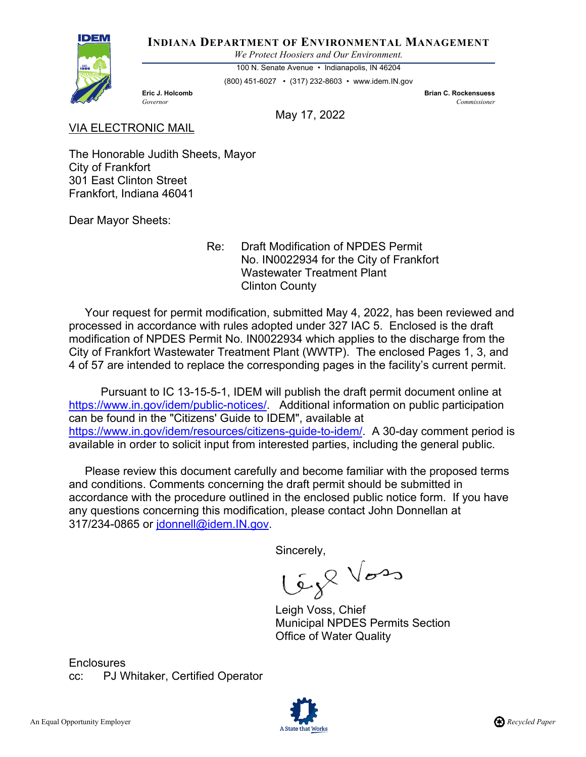

**INDIANA DEPARTMENT OF ENVIRONMENTAL MANAGEMENT**

*We Protect Hoosiers and Our Environment.*

100 N. Senate Avenue • Indianapolis, IN 46204

(800) 451-6027 • (317) 232-8603 • www.idem.IN.gov

**Eric J. Holcomb Brian C. Rockensuess** *Governor Commissioner* 

May 17, 2022

#### VIA ELECTRONIC MAIL

The Honorable Judith Sheets, Mayor City of Frankfort 301 East Clinton Street Frankfort, Indiana 46041

Dear Mayor Sheets:

 Re: Draft Modification of NPDES Permit No. IN0022934 for the City of Frankfort Wastewater Treatment Plant Clinton County

 Your request for permit modification, submitted May 4, 2022, has been reviewed and processed in accordance with rules adopted under 327 IAC 5. Enclosed is the draft modification of NPDES Permit No. IN0022934 which applies to the discharge from the City of Frankfort Wastewater Treatment Plant (WWTP). The enclosed Pages 1, 3, and 4 of 57 are intended to replace the corresponding pages in the facility's current permit.

 Pursuant to IC 13-15-5-1, IDEM will publish the draft permit document online at [https://www.in.gov/idem/public-notices/.](https://www.in.gov/idem/public-notices/) Additional information on public participation can be found in the "Citizens' Guide to IDEM", available at [https://www.in.gov/idem/resources/citizens-guide-to-idem/.](https://www.in.gov/idem/resources/citizens-guide-to-idem/) A 30-day comment period is available in order to solicit input from interested parties, including the general public.

 Please review this document carefully and become familiar with the proposed terms and conditions. Comments concerning the draft permit should be submitted in accordance with the procedure outlined in the enclosed public notice form. If you have any questions concerning this modification, please contact John Donnellan at 317/234-0865 or jdonnell@idem.IN.gov.

Sincerely,

Lég<sup>Q Vos</sup>

Leigh Voss, Chief Municipal NPDES Permits Section Office of Water Quality

**Enclosures** cc: PJ Whitaker, Certified Operator

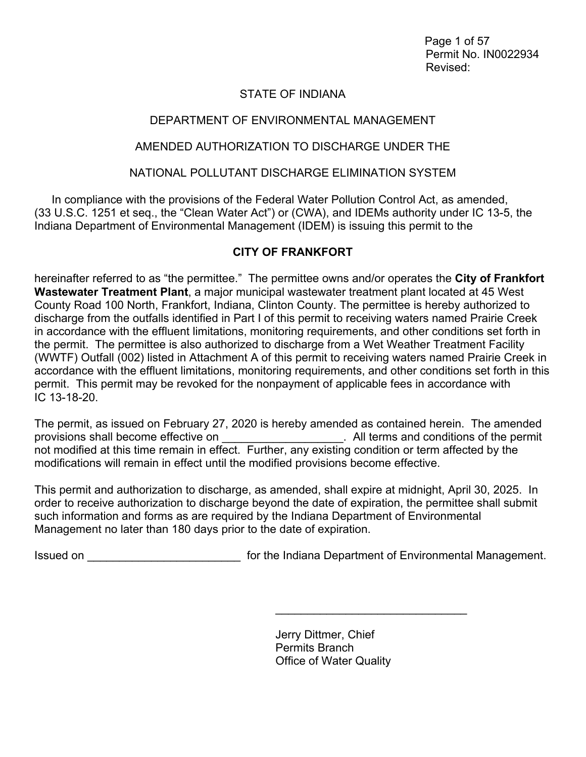Page 1 of 57 Permit No. IN0022934 Revised:

# STATE OF INDIANA

# DEPARTMENT OF ENVIRONMENTAL MANAGEMENT

## AMENDED AUTHORIZATION TO DISCHARGE UNDER THE

## NATIONAL POLLUTANT DISCHARGE ELIMINATION SYSTEM

In compliance with the provisions of the Federal Water Pollution Control Act, as amended, (33 U.S.C. 1251 et seq., the "Clean Water Act") or (CWA), and IDEMs authority under IC 13-5, the Indiana Department of Environmental Management (IDEM) is issuing this permit to the

# **CITY OF FRANKFORT**

hereinafter referred to as "the permittee." The permittee owns and/or operates the **City of Frankfort Wastewater Treatment Plant**, a major municipal wastewater treatment plant located at 45 West County Road 100 North, Frankfort, Indiana, Clinton County. The permittee is hereby authorized to discharge from the outfalls identified in Part I of this permit to receiving waters named Prairie Creek in accordance with the effluent limitations, monitoring requirements, and other conditions set forth in the permit. The permittee is also authorized to discharge from a Wet Weather Treatment Facility (WWTF) Outfall (002) listed in Attachment A of this permit to receiving waters named Prairie Creek in accordance with the effluent limitations, monitoring requirements, and other conditions set forth in this permit. This permit may be revoked for the nonpayment of applicable fees in accordance with IC 13-18-20.

The permit, as issued on February 27, 2020 is hereby amended as contained herein. The amended provisions shall become effective on  $\blacksquare$  . All terms and conditions of the permit not modified at this time remain in effect. Further, any existing condition or term affected by the modifications will remain in effect until the modified provisions become effective.

This permit and authorization to discharge, as amended, shall expire at midnight, April 30, 2025. In order to receive authorization to discharge beyond the date of expiration, the permittee shall submit such information and forms as are required by the Indiana Department of Environmental Management no later than 180 days prior to the date of expiration.

Issued on \_\_\_\_\_\_\_\_\_\_\_\_\_\_\_\_\_\_\_\_\_\_\_\_ for the Indiana Department of Environmental Management.

Jerry Dittmer, Chief Permits Branch Office of Water Quality

\_\_\_\_\_\_\_\_\_\_\_\_\_\_\_\_\_\_\_\_\_\_\_\_\_\_\_\_\_\_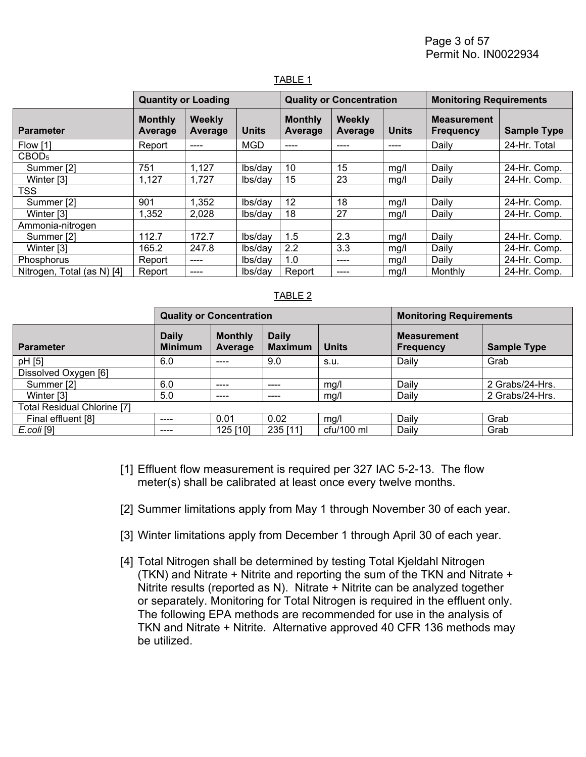Page 3 of 57 Permit No. IN0022934

|                            | <b>Quantity or Loading</b> |                          |              | <b>Quality or Concentration</b>  |                   |              | <b>Monitoring Requirements</b>         |                    |
|----------------------------|----------------------------|--------------------------|--------------|----------------------------------|-------------------|--------------|----------------------------------------|--------------------|
| <b>Parameter</b>           | <b>Monthly</b><br>Average  | <b>Weekly</b><br>Average | <b>Units</b> | <b>Monthly</b><br><b>Average</b> | Weekly<br>Average | <b>Units</b> | <b>Measurement</b><br><b>Frequency</b> | <b>Sample Type</b> |
| Flow [1]                   | Report                     | ----                     | <b>MGD</b>   | ----                             | ----              | ----         | Daily                                  | 24-Hr. Total       |
| CBOD <sub>5</sub>          |                            |                          |              |                                  |                   |              |                                        |                    |
| Summer [2]                 | 751                        | 1,127                    | lbs/day      | 10                               | 15                | mg/l         | Daily                                  | 24-Hr. Comp.       |
| Winter [3]                 | 1,127                      | 1,727                    | lbs/day      | 15                               | 23                | mg/l         | Daily                                  | 24-Hr. Comp.       |
| <b>TSS</b>                 |                            |                          |              |                                  |                   |              |                                        |                    |
| Summer [2]                 | 901                        | 1,352                    | lbs/day      | 12                               | 18                | mg/l         | Daily                                  | 24-Hr. Comp.       |
| Winter [3]                 | 1,352                      | 2,028                    | lbs/day      | 18                               | 27                | mg/l         | Daily                                  | 24-Hr. Comp.       |
| Ammonia-nitrogen           |                            |                          |              |                                  |                   |              |                                        |                    |
| Summer [2]                 | 112.7                      | 172.7                    | lbs/day      | 1.5                              | 2.3               | mg/l         | Daily                                  | 24-Hr. Comp.       |
| Winter [3]                 | 165.2                      | 247.8                    | lbs/day      | $2.2\phantom{0}$                 | 3.3               | mq/l         | Daily                                  | 24-Hr. Comp.       |
| Phosphorus                 | Report                     | ----                     | lbs/day      | 1.0                              | ----              | mg/l         | Daily                                  | 24-Hr. Comp.       |
| Nitrogen, Total (as N) [4] | Report                     | ----                     | lbs/day      | Report                           | ----              | mg/l         | Monthly                                | 24-Hr. Comp.       |

#### TABLE 1

#### TABLE 2

|                                    | <b>Quality or Concentration</b> |                           |                                |              | <b>Monitoring Requirements</b>         |                    |  |
|------------------------------------|---------------------------------|---------------------------|--------------------------------|--------------|----------------------------------------|--------------------|--|
| <b>Parameter</b>                   | <b>Daily</b><br><b>Minimum</b>  | <b>Monthly</b><br>Average | <b>Daily</b><br><b>Maximum</b> | <b>Units</b> | <b>Measurement</b><br><b>Frequency</b> | <b>Sample Type</b> |  |
| pH [5]                             | 6.0                             | ----                      | 9.0                            | s.u.         | Daily                                  | Grab               |  |
| Dissolved Oxygen [6]               |                                 |                           |                                |              |                                        |                    |  |
| Summer [2]                         | 6.0                             | ----                      | ----                           | mq/l         | Daily                                  | 2 Grabs/24-Hrs.    |  |
| Winter [3]                         | 5.0                             | ----                      | ----                           | mq/l         | Daily                                  | 2 Grabs/24-Hrs.    |  |
| <b>Total Residual Chlorine [7]</b> |                                 |                           |                                |              |                                        |                    |  |
| Final effluent [8]                 | ----                            | 0.01                      | 0.02                           | mq/l         | Daily                                  | Grab               |  |
| $E.$ coli [9]                      | ----                            | 125 [10]                  | 235 [11]                       | $ctu/100$ ml | Daily                                  | Grab               |  |

- [1] Effluent flow measurement is required per 327 IAC 5-2-13. The flow meter(s) shall be calibrated at least once every twelve months.
- [2] Summer limitations apply from May 1 through November 30 of each year.
- [3] Winter limitations apply from December 1 through April 30 of each year.
- [4] Total Nitrogen shall be determined by testing Total Kjeldahl Nitrogen (TKN) and Nitrate + Nitrite and reporting the sum of the TKN and Nitrate + Nitrite results (reported as N). Nitrate + Nitrite can be analyzed together or separately. Monitoring for Total Nitrogen is required in the effluent only. The following EPA methods are recommended for use in the analysis of TKN and Nitrate + Nitrite. Alternative approved 40 CFR 136 methods may be utilized.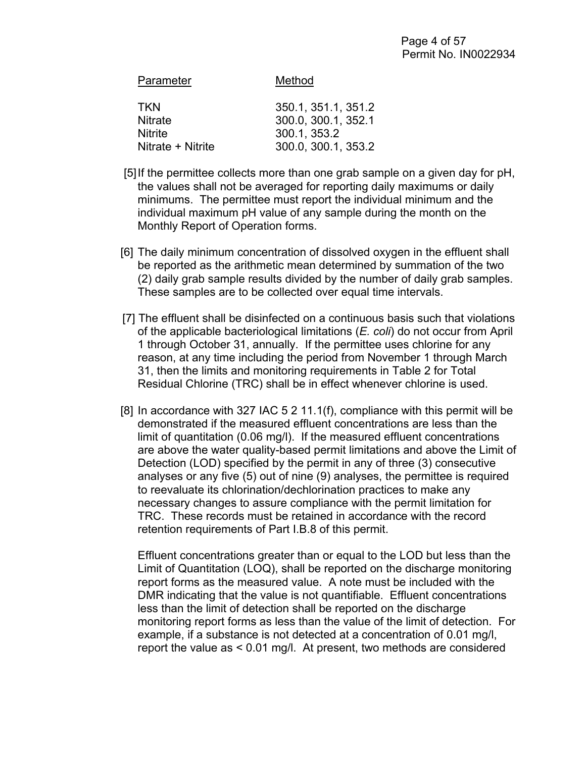| Parameter         | Method              |
|-------------------|---------------------|
| TKN               | 350.1, 351.1, 351.2 |
| <b>Nitrate</b>    | 300.0, 300.1, 352.1 |
| <b>Nitrite</b>    | 300.1, 353.2        |
| Nitrate + Nitrite | 300.0, 300.1, 353.2 |
|                   |                     |

- [5] If the permittee collects more than one grab sample on a given day for pH, the values shall not be averaged for reporting daily maximums or daily minimums. The permittee must report the individual minimum and the individual maximum pH value of any sample during the month on the Monthly Report of Operation forms.
- [6] The daily minimum concentration of dissolved oxygen in the effluent shall be reported as the arithmetic mean determined by summation of the two (2) daily grab sample results divided by the number of daily grab samples. These samples are to be collected over equal time intervals.
- [7] The effluent shall be disinfected on a continuous basis such that violations of the applicable bacteriological limitations (*E. coli*) do not occur from April 1 through October 31, annually. If the permittee uses chlorine for any reason, at any time including the period from November 1 through March 31, then the limits and monitoring requirements in Table 2 for Total Residual Chlorine (TRC) shall be in effect whenever chlorine is used.
- [8] In accordance with 327 IAC 5 2 11.1(f), compliance with this permit will be demonstrated if the measured effluent concentrations are less than the limit of quantitation (0.06 mg/l). If the measured effluent concentrations are above the water quality-based permit limitations and above the Limit of Detection (LOD) specified by the permit in any of three (3) consecutive analyses or any five (5) out of nine (9) analyses, the permittee is required to reevaluate its chlorination/dechlorination practices to make any necessary changes to assure compliance with the permit limitation for TRC. These records must be retained in accordance with the record retention requirements of Part I.B.8 of this permit.

Effluent concentrations greater than or equal to the LOD but less than the Limit of Quantitation (LOQ), shall be reported on the discharge monitoring report forms as the measured value. A note must be included with the DMR indicating that the value is not quantifiable. Effluent concentrations less than the limit of detection shall be reported on the discharge monitoring report forms as less than the value of the limit of detection. For example, if a substance is not detected at a concentration of 0.01 mg/l, report the value as < 0.01 mg/l. At present, two methods are considered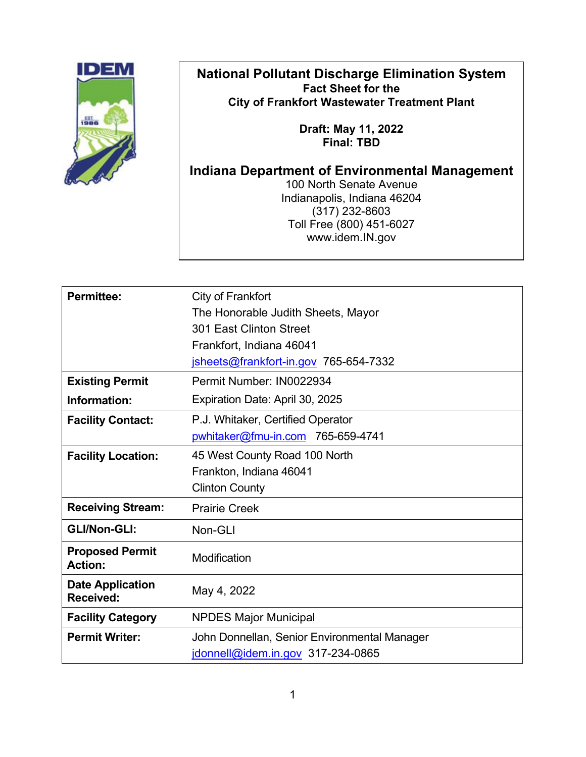# **National Pollutant Discharge Elimination System Fact Sheet for the City of Frankfort Wastewater Treatment Plant**

**Draft: May 11, 2022 Final: TBD**

# **Indiana Department of Environmental Management**

100 North Senate Avenue Indianapolis, Indiana 46204 (317) 232-8603 Toll Free (800) 451-6027 www.idem.IN.gov

| <b>Permittee:</b>                        | City of Frankfort                            |  |  |
|------------------------------------------|----------------------------------------------|--|--|
|                                          | The Honorable Judith Sheets, Mayor           |  |  |
|                                          | 301 East Clinton Street                      |  |  |
|                                          | Frankfort, Indiana 46041                     |  |  |
|                                          | jsheets@frankfort-in.gov 765-654-7332        |  |  |
| <b>Existing Permit</b>                   | Permit Number: IN0022934                     |  |  |
| Information:                             | Expiration Date: April 30, 2025              |  |  |
| <b>Facility Contact:</b>                 | P.J. Whitaker, Certified Operator            |  |  |
|                                          | pwhitaker@fmu-in.com 765-659-4741            |  |  |
| <b>Facility Location:</b>                | 45 West County Road 100 North                |  |  |
|                                          | Frankton, Indiana 46041                      |  |  |
|                                          | <b>Clinton County</b>                        |  |  |
| <b>Receiving Stream:</b>                 | <b>Prairie Creek</b>                         |  |  |
| <b>GLI/Non-GLI:</b>                      | Non-GLI                                      |  |  |
| <b>Proposed Permit</b><br><b>Action:</b> | Modification                                 |  |  |
| <b>Date Application</b><br>Received:     | May 4, 2022                                  |  |  |
| <b>Facility Category</b>                 | <b>NPDES Major Municipal</b>                 |  |  |
| <b>Permit Writer:</b>                    | John Donnellan, Senior Environmental Manager |  |  |
|                                          | jdonnell@idem.in.gov 317-234-0865            |  |  |